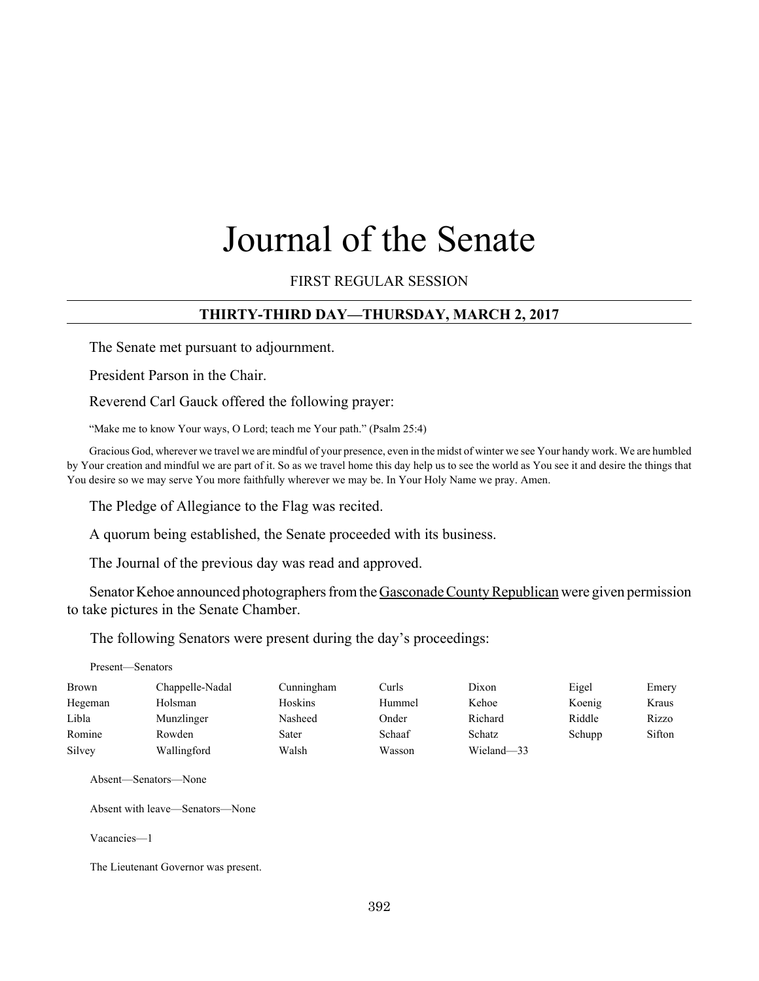# Journal of the Senate

FIRST REGULAR SESSION

# **THIRTY-THIRD DAY—THURSDAY, MARCH 2, 2017**

The Senate met pursuant to adjournment.

President Parson in the Chair.

Reverend Carl Gauck offered the following prayer:

"Make me to know Your ways, O Lord; teach me Your path." (Psalm 25:4)

Gracious God, wherever we travel we are mindful of your presence, even in the midst of winter we see Your handy work. We are humbled by Your creation and mindful we are part of it. So as we travel home this day help us to see the world as You see it and desire the things that You desire so we may serve You more faithfully wherever we may be. In Your Holy Name we pray. Amen.

The Pledge of Allegiance to the Flag was recited.

A quorum being established, the Senate proceeded with its business.

The Journal of the previous day was read and approved.

Senator Kehoe announced photographers from the Gasconade County Republican were given permission to take pictures in the Senate Chamber.

The following Senators were present during the day's proceedings:

| Present—Senators |                 |            |        |            |        |        |
|------------------|-----------------|------------|--------|------------|--------|--------|
| Brown            | Chappelle-Nadal | Cunningham | Curls  | Dixon      | Eigel  | Emery  |
| Hegeman          | Holsman         | Hoskins    | Hummel | Kehoe      | Koenig | Kraus  |
| Libla            | Munzlinger      | Nasheed    | Onder  | Richard    | Riddle | Rizzo  |
| Romine           | Rowden          | Sater      | Schaaf | Schatz     | Schupp | Sifton |
| Silvey           | Wallingford     | Walsh      | Wasson | Wieland-33 |        |        |

Absent—Senators—None

Absent with leave—Senators—None

Vacancies—1

The Lieutenant Governor was present.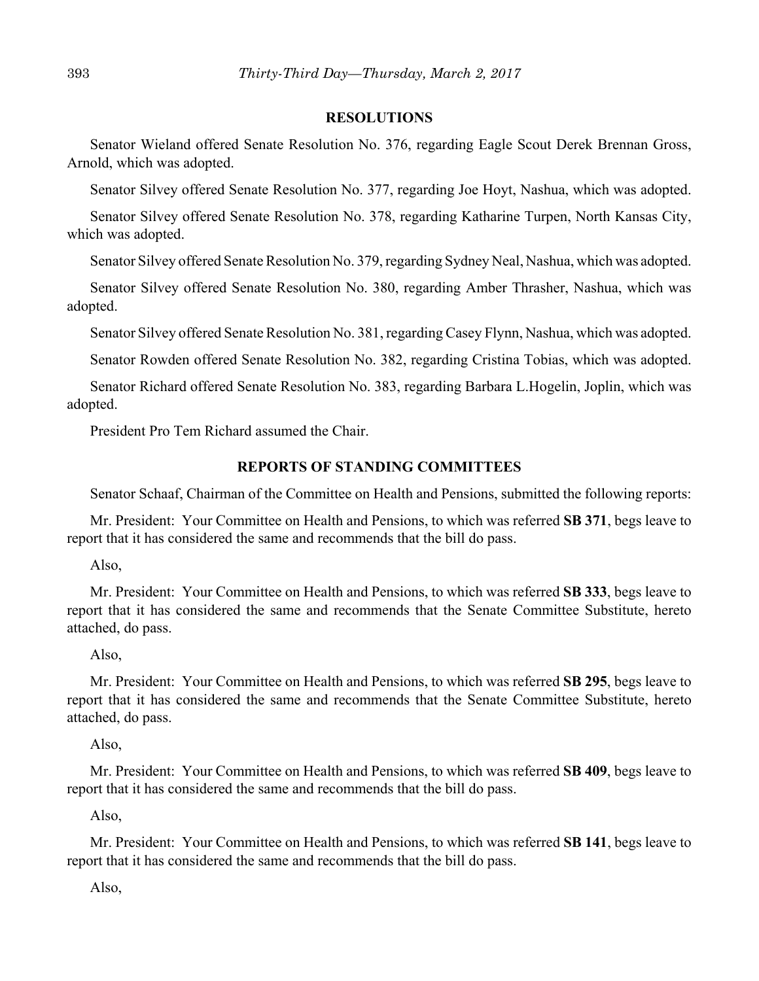#### **RESOLUTIONS**

Senator Wieland offered Senate Resolution No. 376, regarding Eagle Scout Derek Brennan Gross, Arnold, which was adopted.

Senator Silvey offered Senate Resolution No. 377, regarding Joe Hoyt, Nashua, which was adopted.

Senator Silvey offered Senate Resolution No. 378, regarding Katharine Turpen, North Kansas City, which was adopted.

Senator Silvey offered Senate Resolution No. 379, regarding Sydney Neal, Nashua, which was adopted.

Senator Silvey offered Senate Resolution No. 380, regarding Amber Thrasher, Nashua, which was adopted.

Senator Silvey offered Senate Resolution No. 381, regarding Casey Flynn, Nashua, which was adopted.

Senator Rowden offered Senate Resolution No. 382, regarding Cristina Tobias, which was adopted.

Senator Richard offered Senate Resolution No. 383, regarding Barbara L.Hogelin, Joplin, which was adopted.

President Pro Tem Richard assumed the Chair.

## **REPORTS OF STANDING COMMITTEES**

Senator Schaaf, Chairman of the Committee on Health and Pensions, submitted the following reports:

Mr. President: Your Committee on Health and Pensions, to which was referred **SB 371**, begs leave to report that it has considered the same and recommends that the bill do pass.

Also,

Mr. President: Your Committee on Health and Pensions, to which was referred **SB 333**, begs leave to report that it has considered the same and recommends that the Senate Committee Substitute, hereto attached, do pass.

Also,

Mr. President: Your Committee on Health and Pensions, to which was referred **SB 295**, begs leave to report that it has considered the same and recommends that the Senate Committee Substitute, hereto attached, do pass.

Also,

Mr. President: Your Committee on Health and Pensions, to which was referred **SB 409**, begs leave to report that it has considered the same and recommends that the bill do pass.

Also,

Mr. President: Your Committee on Health and Pensions, to which was referred **SB 141**, begs leave to report that it has considered the same and recommends that the bill do pass.

Also,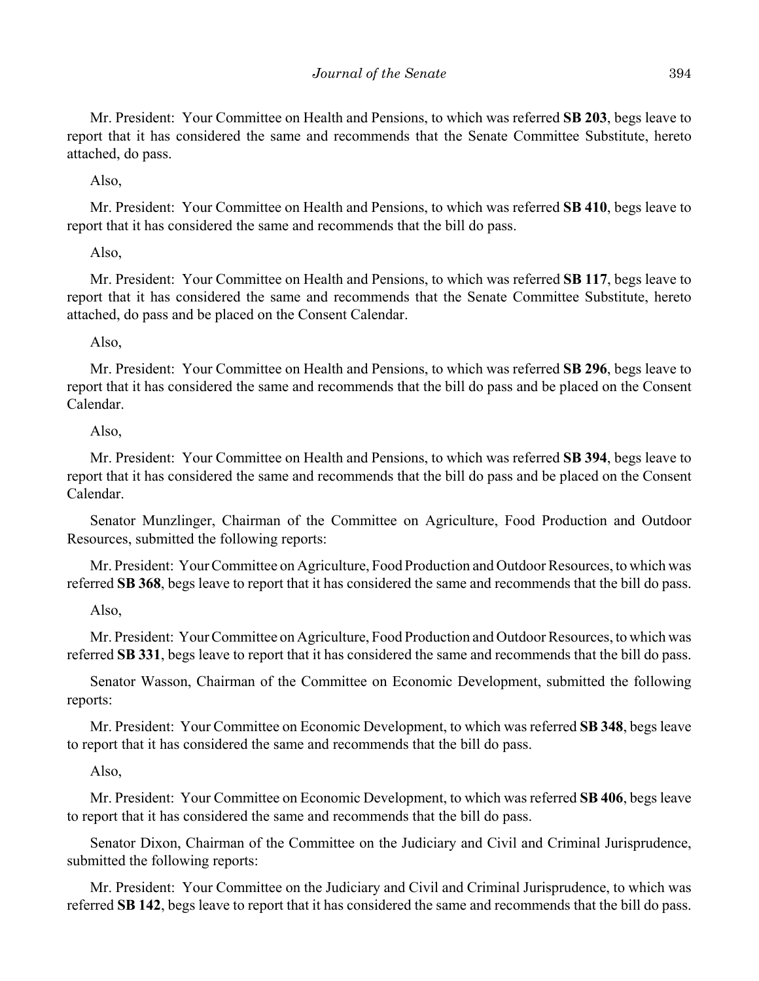Mr. President: Your Committee on Health and Pensions, to which was referred **SB 203**, begs leave to report that it has considered the same and recommends that the Senate Committee Substitute, hereto attached, do pass.

Also,

Mr. President: Your Committee on Health and Pensions, to which was referred **SB 410**, begs leave to report that it has considered the same and recommends that the bill do pass.

## Also,

Mr. President: Your Committee on Health and Pensions, to which was referred **SB 117**, begs leave to report that it has considered the same and recommends that the Senate Committee Substitute, hereto attached, do pass and be placed on the Consent Calendar.

## Also,

Mr. President: Your Committee on Health and Pensions, to which was referred **SB 296**, begs leave to report that it has considered the same and recommends that the bill do pass and be placed on the Consent Calendar.

## Also,

Mr. President: Your Committee on Health and Pensions, to which was referred **SB 394**, begs leave to report that it has considered the same and recommends that the bill do pass and be placed on the Consent Calendar.

Senator Munzlinger, Chairman of the Committee on Agriculture, Food Production and Outdoor Resources, submitted the following reports:

Mr. President: Your Committee on Agriculture, Food Production and Outdoor Resources, to which was referred **SB 368**, begs leave to report that it has considered the same and recommends that the bill do pass.

## Also,

Mr. President: Your Committee on Agriculture, Food Production and Outdoor Resources, to which was referred **SB 331**, begs leave to report that it has considered the same and recommends that the bill do pass.

Senator Wasson, Chairman of the Committee on Economic Development, submitted the following reports:

Mr. President: Your Committee on Economic Development, to which was referred **SB 348**, begs leave to report that it has considered the same and recommends that the bill do pass.

## Also,

Mr. President: Your Committee on Economic Development, to which was referred **SB 406**, begs leave to report that it has considered the same and recommends that the bill do pass.

Senator Dixon, Chairman of the Committee on the Judiciary and Civil and Criminal Jurisprudence, submitted the following reports:

Mr. President: Your Committee on the Judiciary and Civil and Criminal Jurisprudence, to which was referred **SB 142**, begs leave to report that it has considered the same and recommends that the bill do pass.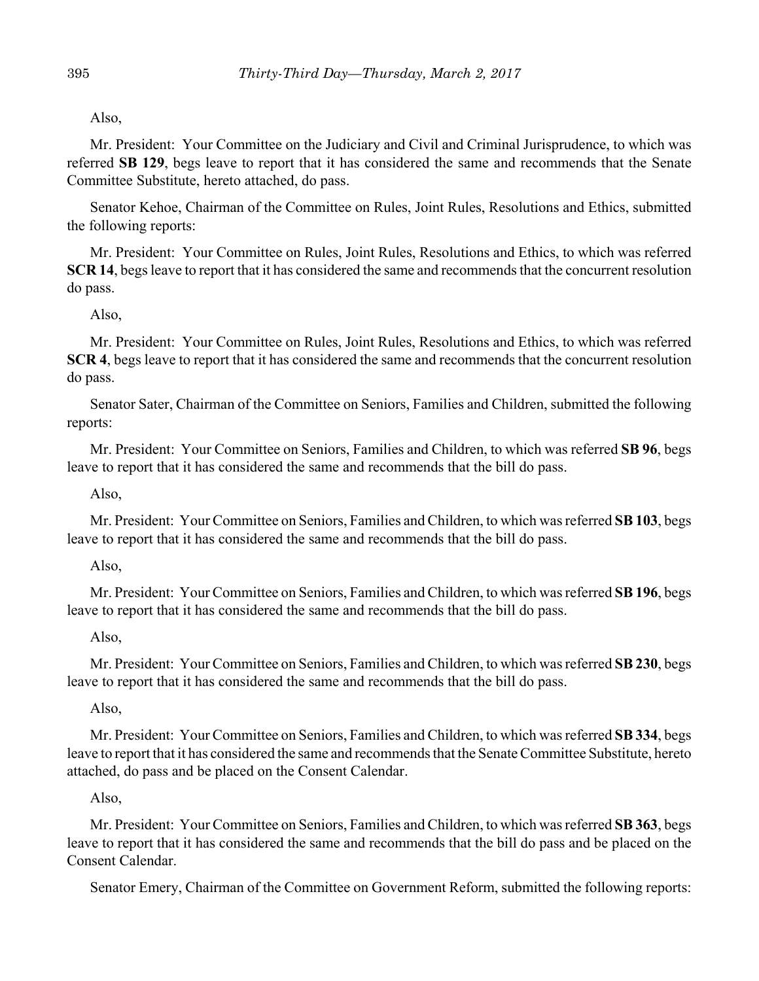Also,

Mr. President: Your Committee on the Judiciary and Civil and Criminal Jurisprudence, to which was referred **SB 129**, begs leave to report that it has considered the same and recommends that the Senate Committee Substitute, hereto attached, do pass.

Senator Kehoe, Chairman of the Committee on Rules, Joint Rules, Resolutions and Ethics, submitted the following reports:

Mr. President: Your Committee on Rules, Joint Rules, Resolutions and Ethics, to which was referred **SCR 14**, begs leave to report that it has considered the same and recommends that the concurrent resolution do pass.

Also,

Mr. President: Your Committee on Rules, Joint Rules, Resolutions and Ethics, to which was referred **SCR 4**, begs leave to report that it has considered the same and recommends that the concurrent resolution do pass.

Senator Sater, Chairman of the Committee on Seniors, Families and Children, submitted the following reports:

Mr. President: Your Committee on Seniors, Families and Children, to which was referred **SB 96**, begs leave to report that it has considered the same and recommends that the bill do pass.

Also,

Mr. President: Your Committee on Seniors, Families and Children, to which was referred **SB 103**, begs leave to report that it has considered the same and recommends that the bill do pass.

Also,

Mr. President: Your Committee on Seniors, Families and Children, to which was referred **SB 196**, begs leave to report that it has considered the same and recommends that the bill do pass.

Also,

Mr. President: Your Committee on Seniors, Families and Children, to which was referred **SB 230**, begs leave to report that it has considered the same and recommends that the bill do pass.

Also,

Mr. President: Your Committee on Seniors, Families and Children, to which was referred **SB 334**, begs leave to report that it has considered the same and recommends that the Senate Committee Substitute, hereto attached, do pass and be placed on the Consent Calendar.

Also,

Mr. President: Your Committee on Seniors, Families and Children, to which was referred **SB 363**, begs leave to report that it has considered the same and recommends that the bill do pass and be placed on the Consent Calendar.

Senator Emery, Chairman of the Committee on Government Reform, submitted the following reports: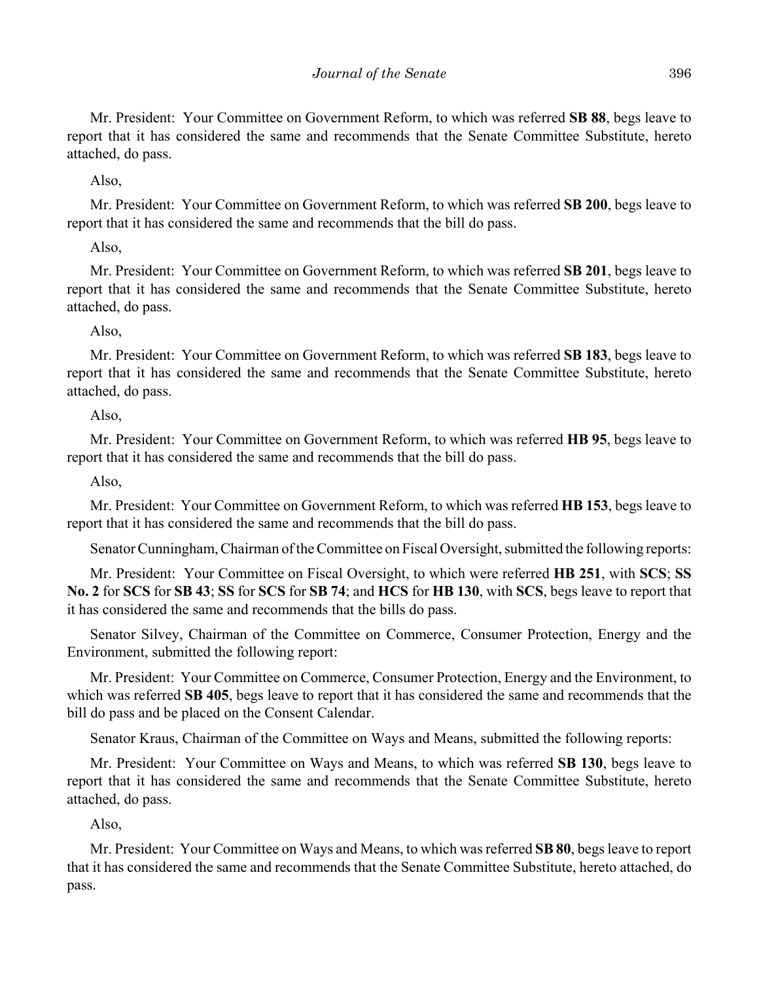Mr. President: Your Committee on Government Reform, to which was referred **SB 88**, begs leave to report that it has considered the same and recommends that the Senate Committee Substitute, hereto attached, do pass.

Also,

Mr. President: Your Committee on Government Reform, to which was referred **SB 200**, begs leave to report that it has considered the same and recommends that the bill do pass.

Also,

Mr. President: Your Committee on Government Reform, to which was referred **SB 201**, begs leave to report that it has considered the same and recommends that the Senate Committee Substitute, hereto attached, do pass.

Also,

Mr. President: Your Committee on Government Reform, to which was referred **SB 183**, begs leave to report that it has considered the same and recommends that the Senate Committee Substitute, hereto attached, do pass.

Also,

Mr. President: Your Committee on Government Reform, to which was referred **HB 95**, begs leave to report that it has considered the same and recommends that the bill do pass.

Also,

Mr. President: Your Committee on Government Reform, to which was referred **HB 153**, begs leave to report that it has considered the same and recommends that the bill do pass.

Senator Cunningham, Chairman of the Committee on Fiscal Oversight, submitted the following reports:

Mr. President: Your Committee on Fiscal Oversight, to which were referred **HB 251**, with **SCS**; **SS No. 2** for **SCS** for **SB 43**; **SS** for **SCS** for **SB 74**; and **HCS** for **HB 130**, with **SCS**, begs leave to report that it has considered the same and recommends that the bills do pass.

Senator Silvey, Chairman of the Committee on Commerce, Consumer Protection, Energy and the Environment, submitted the following report:

Mr. President: Your Committee on Commerce, Consumer Protection, Energy and the Environment, to which was referred **SB 405**, begs leave to report that it has considered the same and recommends that the bill do pass and be placed on the Consent Calendar.

Senator Kraus, Chairman of the Committee on Ways and Means, submitted the following reports:

Mr. President: Your Committee on Ways and Means, to which was referred **SB 130**, begs leave to report that it has considered the same and recommends that the Senate Committee Substitute, hereto attached, do pass.

Also,

Mr. President: Your Committee on Ways and Means, to which was referred **SB 80**, begs leave to report that it has considered the same and recommends that the Senate Committee Substitute, hereto attached, do pass.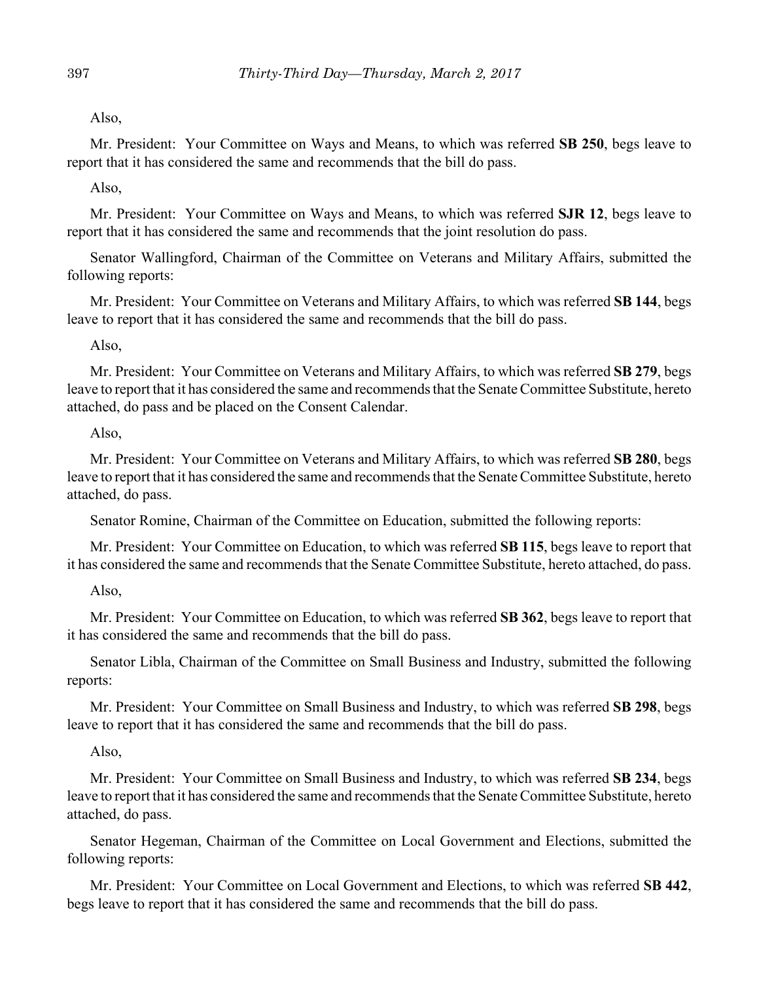Also,

Mr. President: Your Committee on Ways and Means, to which was referred **SB 250**, begs leave to report that it has considered the same and recommends that the bill do pass.

Also,

Mr. President: Your Committee on Ways and Means, to which was referred **SJR 12**, begs leave to report that it has considered the same and recommends that the joint resolution do pass.

Senator Wallingford, Chairman of the Committee on Veterans and Military Affairs, submitted the following reports:

Mr. President: Your Committee on Veterans and Military Affairs, to which was referred **SB 144**, begs leave to report that it has considered the same and recommends that the bill do pass.

Also,

Mr. President: Your Committee on Veterans and Military Affairs, to which was referred **SB 279**, begs leave to report that it has considered the same and recommends that the Senate Committee Substitute, hereto attached, do pass and be placed on the Consent Calendar.

Also,

Mr. President: Your Committee on Veterans and Military Affairs, to which was referred **SB 280**, begs leave to report that it has considered the same and recommends that the Senate Committee Substitute, hereto attached, do pass.

Senator Romine, Chairman of the Committee on Education, submitted the following reports:

Mr. President: Your Committee on Education, to which was referred **SB 115**, begs leave to report that it has considered the same and recommends that the Senate Committee Substitute, hereto attached, do pass.

Also,

Mr. President: Your Committee on Education, to which was referred **SB 362**, begs leave to report that it has considered the same and recommends that the bill do pass.

Senator Libla, Chairman of the Committee on Small Business and Industry, submitted the following reports:

Mr. President: Your Committee on Small Business and Industry, to which was referred **SB 298**, begs leave to report that it has considered the same and recommends that the bill do pass.

Also,

Mr. President: Your Committee on Small Business and Industry, to which was referred **SB 234**, begs leave to report that it has considered the same and recommends that the Senate Committee Substitute, hereto attached, do pass.

Senator Hegeman, Chairman of the Committee on Local Government and Elections, submitted the following reports:

Mr. President: Your Committee on Local Government and Elections, to which was referred **SB 442**, begs leave to report that it has considered the same and recommends that the bill do pass.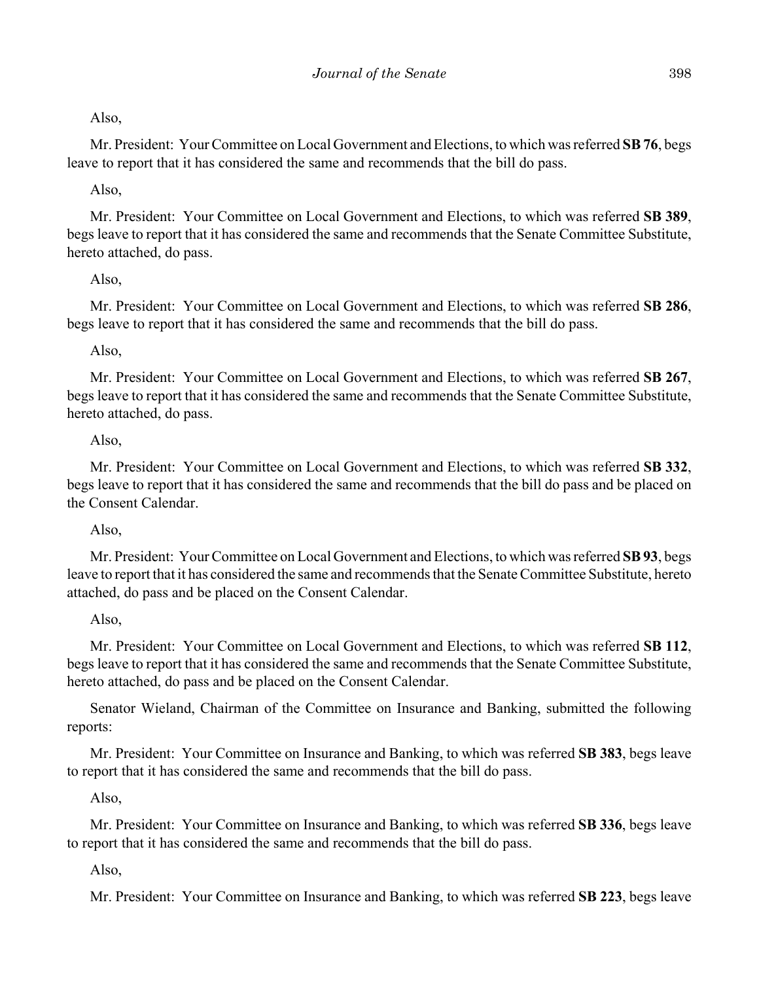Mr. President: Your Committee on Local Government and Elections, to which was referred **SB 76**, begs leave to report that it has considered the same and recommends that the bill do pass.

# Also,

Mr. President: Your Committee on Local Government and Elections, to which was referred **SB 389**, begs leave to report that it has considered the same and recommends that the Senate Committee Substitute, hereto attached, do pass.

# Also,

Mr. President: Your Committee on Local Government and Elections, to which was referred **SB 286**, begs leave to report that it has considered the same and recommends that the bill do pass.

# Also,

Mr. President: Your Committee on Local Government and Elections, to which was referred **SB 267**, begs leave to report that it has considered the same and recommends that the Senate Committee Substitute, hereto attached, do pass.

# Also,

Mr. President: Your Committee on Local Government and Elections, to which was referred **SB 332**, begs leave to report that it has considered the same and recommends that the bill do pass and be placed on the Consent Calendar.

# Also,

Mr. President: Your Committee on Local Government and Elections, to which was referred **SB 93**, begs leave to report that it has considered the same and recommends that the Senate Committee Substitute, hereto attached, do pass and be placed on the Consent Calendar.

# Also,

Mr. President: Your Committee on Local Government and Elections, to which was referred **SB 112**, begs leave to report that it has considered the same and recommends that the Senate Committee Substitute, hereto attached, do pass and be placed on the Consent Calendar.

Senator Wieland, Chairman of the Committee on Insurance and Banking, submitted the following reports:

Mr. President: Your Committee on Insurance and Banking, to which was referred **SB 383**, begs leave to report that it has considered the same and recommends that the bill do pass.

# Also,

Mr. President: Your Committee on Insurance and Banking, to which was referred **SB 336**, begs leave to report that it has considered the same and recommends that the bill do pass.

# Also,

Mr. President: Your Committee on Insurance and Banking, to which was referred **SB 223**, begs leave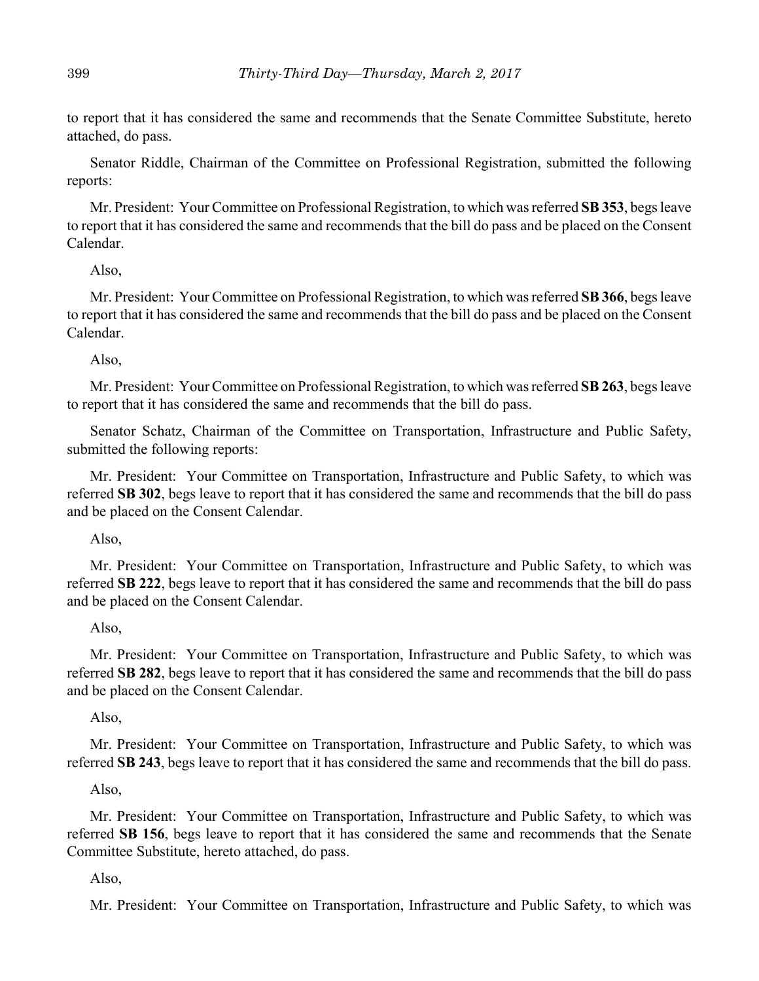to report that it has considered the same and recommends that the Senate Committee Substitute, hereto attached, do pass.

Senator Riddle, Chairman of the Committee on Professional Registration, submitted the following reports:

Mr. President: Your Committee on Professional Registration, to which was referred **SB 353**, begs leave to report that it has considered the same and recommends that the bill do pass and be placed on the Consent Calendar.

Also,

Mr. President: Your Committee on Professional Registration, to which was referred **SB 366**, begs leave to report that it has considered the same and recommends that the bill do pass and be placed on the Consent Calendar.

Also,

Mr. President: Your Committee on Professional Registration, to which was referred **SB 263**, begs leave to report that it has considered the same and recommends that the bill do pass.

Senator Schatz, Chairman of the Committee on Transportation, Infrastructure and Public Safety, submitted the following reports:

Mr. President: Your Committee on Transportation, Infrastructure and Public Safety, to which was referred **SB 302**, begs leave to report that it has considered the same and recommends that the bill do pass and be placed on the Consent Calendar.

Also,

Mr. President: Your Committee on Transportation, Infrastructure and Public Safety, to which was referred **SB 222**, begs leave to report that it has considered the same and recommends that the bill do pass and be placed on the Consent Calendar.

## Also,

Mr. President: Your Committee on Transportation, Infrastructure and Public Safety, to which was referred **SB 282**, begs leave to report that it has considered the same and recommends that the bill do pass and be placed on the Consent Calendar.

## Also,

Mr. President: Your Committee on Transportation, Infrastructure and Public Safety, to which was referred **SB 243**, begs leave to report that it has considered the same and recommends that the bill do pass.

Also,

Mr. President: Your Committee on Transportation, Infrastructure and Public Safety, to which was referred **SB 156**, begs leave to report that it has considered the same and recommends that the Senate Committee Substitute, hereto attached, do pass.

# Also,

Mr. President: Your Committee on Transportation, Infrastructure and Public Safety, to which was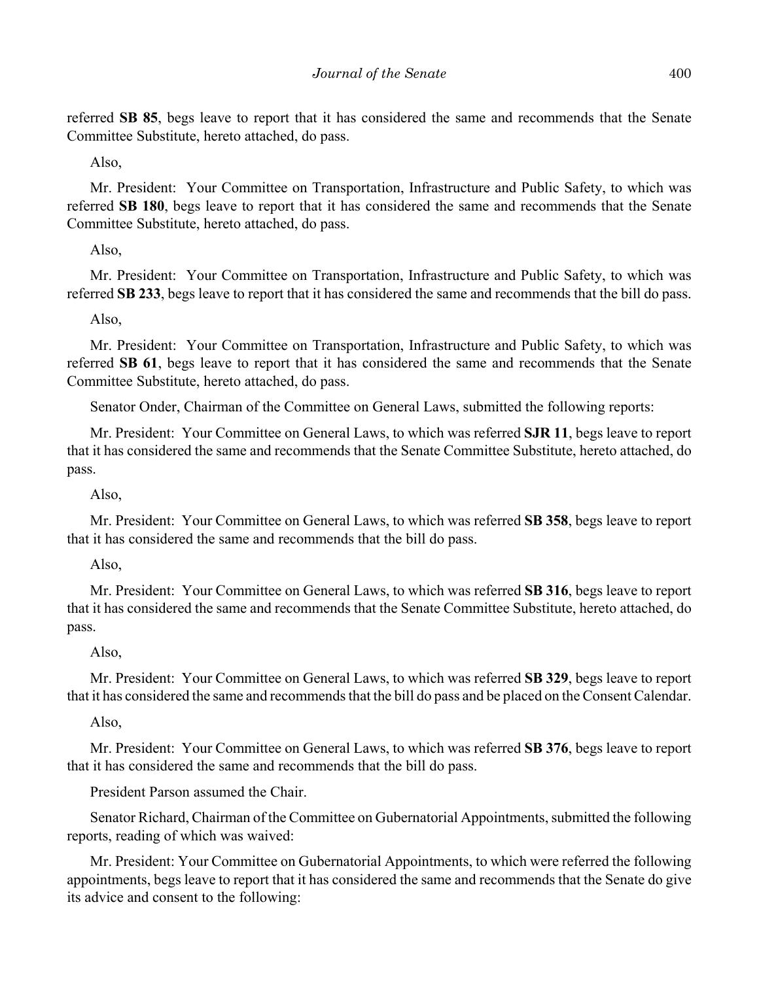referred **SB 85**, begs leave to report that it has considered the same and recommends that the Senate Committee Substitute, hereto attached, do pass.

Also,

Mr. President: Your Committee on Transportation, Infrastructure and Public Safety, to which was referred **SB 180**, begs leave to report that it has considered the same and recommends that the Senate Committee Substitute, hereto attached, do pass.

Also,

Mr. President: Your Committee on Transportation, Infrastructure and Public Safety, to which was referred **SB 233**, begs leave to report that it has considered the same and recommends that the bill do pass.

Also,

Mr. President: Your Committee on Transportation, Infrastructure and Public Safety, to which was referred **SB 61**, begs leave to report that it has considered the same and recommends that the Senate Committee Substitute, hereto attached, do pass.

Senator Onder, Chairman of the Committee on General Laws, submitted the following reports:

Mr. President: Your Committee on General Laws, to which was referred **SJR 11**, begs leave to report that it has considered the same and recommends that the Senate Committee Substitute, hereto attached, do pass.

Also,

Mr. President: Your Committee on General Laws, to which was referred **SB 358**, begs leave to report that it has considered the same and recommends that the bill do pass.

# Also,

Mr. President: Your Committee on General Laws, to which was referred **SB 316**, begs leave to report that it has considered the same and recommends that the Senate Committee Substitute, hereto attached, do pass.

# Also,

Mr. President: Your Committee on General Laws, to which was referred **SB 329**, begs leave to report that it has considered the same and recommends that the bill do pass and be placed on the Consent Calendar.

## Also,

Mr. President: Your Committee on General Laws, to which was referred **SB 376**, begs leave to report that it has considered the same and recommends that the bill do pass.

President Parson assumed the Chair.

Senator Richard, Chairman of the Committee on Gubernatorial Appointments, submitted the following reports, reading of which was waived:

Mr. President: Your Committee on Gubernatorial Appointments, to which were referred the following appointments, begs leave to report that it has considered the same and recommends that the Senate do give its advice and consent to the following: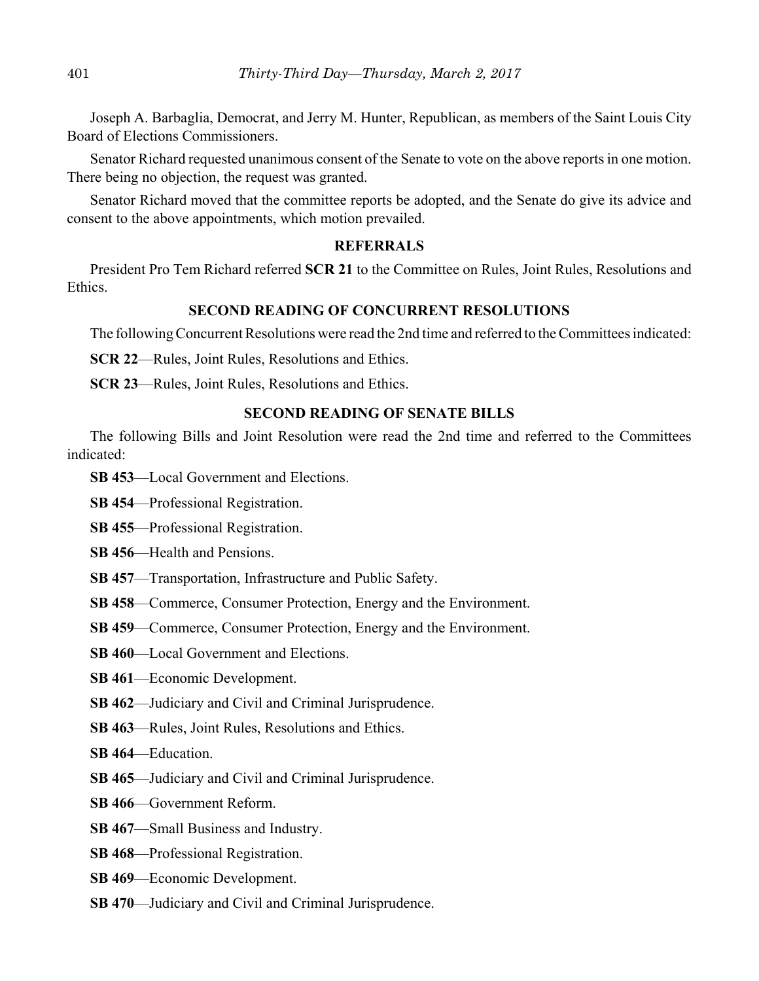Joseph A. Barbaglia, Democrat, and Jerry M. Hunter, Republican, as members of the Saint Louis City Board of Elections Commissioners.

Senator Richard requested unanimous consent of the Senate to vote on the above reports in one motion. There being no objection, the request was granted.

Senator Richard moved that the committee reports be adopted, and the Senate do give its advice and consent to the above appointments, which motion prevailed.

## **REFERRALS**

President Pro Tem Richard referred **SCR 21** to the Committee on Rules, Joint Rules, Resolutions and Ethics.

# **SECOND READING OF CONCURRENT RESOLUTIONS**

The following Concurrent Resolutions were read the 2nd time and referred to the Committees indicated:

**SCR 22**—Rules, Joint Rules, Resolutions and Ethics.

**SCR 23**—Rules, Joint Rules, Resolutions and Ethics.

#### **SECOND READING OF SENATE BILLS**

The following Bills and Joint Resolution were read the 2nd time and referred to the Committees indicated:

**SB 453**––Local Government and Elections.

**SB 454**––Professional Registration.

**SB 455**––Professional Registration.

**SB 456—Health and Pensions.** 

- **SB 457**––Transportation, Infrastructure and Public Safety.
- **SB 458**––Commerce, Consumer Protection, Energy and the Environment.
- **SB 459—Commerce, Consumer Protection, Energy and the Environment.**
- **SB 460–Local Government and Elections.**
- **SB 461**––Economic Development.
- **SB 462**––Judiciary and Civil and Criminal Jurisprudence.
- **SB 463**––Rules, Joint Rules, Resolutions and Ethics.
- **SB 464**––Education.
- **SB 465**––Judiciary and Civil and Criminal Jurisprudence.
- **SB 466**––Government Reform.
- **SB 467**––Small Business and Industry.
- **SB 468**––Professional Registration.
- **SB 469**––Economic Development.
- **SB 470**––Judiciary and Civil and Criminal Jurisprudence.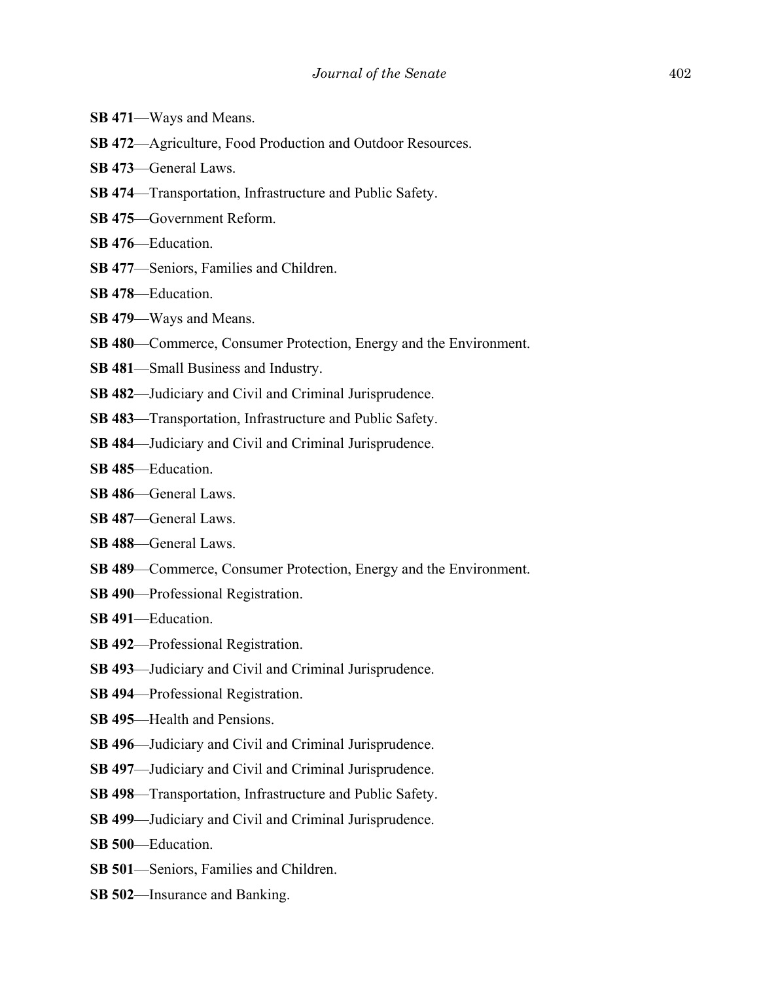- **SB 471**––Ways and Means.
- **SB 472**––Agriculture, Food Production and Outdoor Resources.
- **SB 473**––General Laws.
- **SB 474**––Transportation, Infrastructure and Public Safety.
- **SB 475**––Government Reform.
- **SB 476**––Education.
- **SB 477**––Seniors, Families and Children.
- **SB 478**––Education.
- **SB 479**––Ways and Means.
- **SB 480—Commerce, Consumer Protection, Energy and the Environment.**
- **SB 481**––Small Business and Industry.
- **SB 482**––Judiciary and Civil and Criminal Jurisprudence.
- **SB 483**––Transportation, Infrastructure and Public Safety.
- **SB 484**––Judiciary and Civil and Criminal Jurisprudence.
- **SB 485**––Education.
- **SB 486**––General Laws.
- **SB 487**––General Laws.
- **SB 488**––General Laws.
- **SB 489—Commerce, Consumer Protection, Energy and the Environment.**
- **SB 490**––Professional Registration.
- **SB 491**––Education.
- **SB 492**––Professional Registration.
- **SB 493**––Judiciary and Civil and Criminal Jurisprudence.
- **SB 494**––Professional Registration.
- **SB 495**––Health and Pensions.
- **SB 496**––Judiciary and Civil and Criminal Jurisprudence.
- **SB 497**––Judiciary and Civil and Criminal Jurisprudence.
- **SB 498**––Transportation, Infrastructure and Public Safety.
- **SB 499**––Judiciary and Civil and Criminal Jurisprudence.
- **SB 500**––Education.
- **SB 501**––Seniors, Families and Children.
- **SB 502**––Insurance and Banking.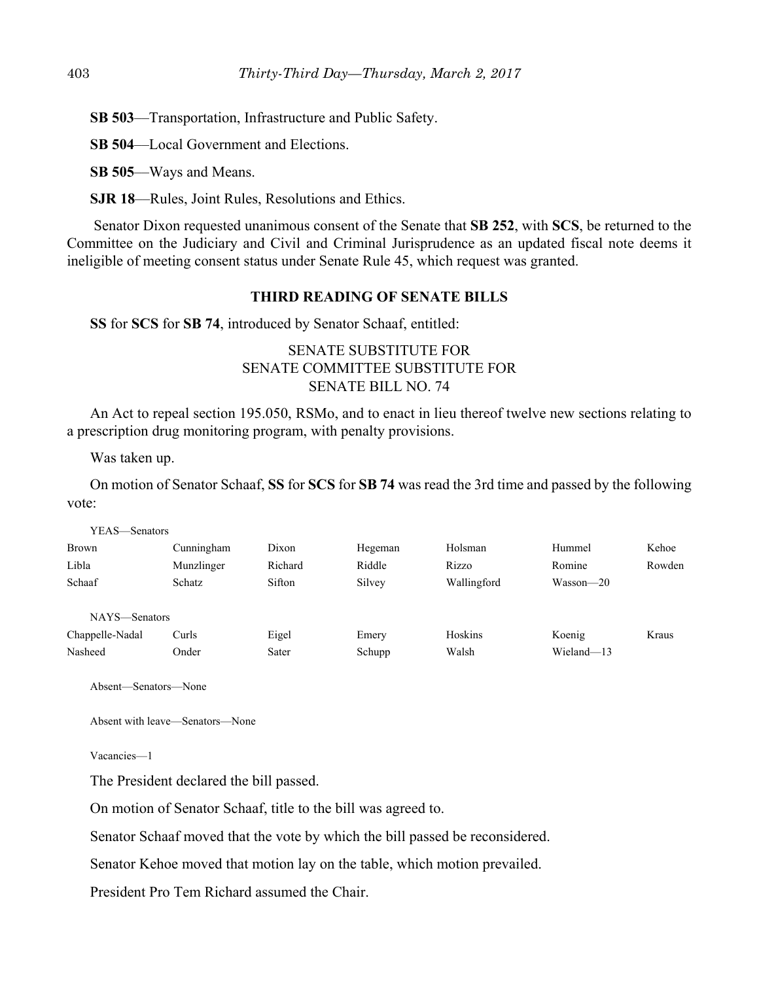**SB 503**––Transportation, Infrastructure and Public Safety.

**SB 504**—Local Government and Elections.

**SB 505**––Ways and Means.

**SJR 18**––Rules, Joint Rules, Resolutions and Ethics.

 Senator Dixon requested unanimous consent of the Senate that **SB 252**, with **SCS**, be returned to the Committee on the Judiciary and Civil and Criminal Jurisprudence as an updated fiscal note deems it ineligible of meeting consent status under Senate Rule 45, which request was granted.

## **THIRD READING OF SENATE BILLS**

**SS** for **SCS** for **SB 74**, introduced by Senator Schaaf, entitled:

# SENATE SUBSTITUTE FOR SENATE COMMITTEE SUBSTITUTE FOR SENATE BILL NO. 74

An Act to repeal section 195.050, RSMo, and to enact in lieu thereof twelve new sections relating to a prescription drug monitoring program, with penalty provisions.

Was taken up.

On motion of Senator Schaaf, **SS** for **SCS** for **SB 74** was read the 3rd time and passed by the following vote:

| YEAS—Senators |         |         |             |               |        |
|---------------|---------|---------|-------------|---------------|--------|
| Cunningham    | Dixon   | Hegeman | Holsman     | Hummel        | Kehoe  |
| Munzlinger    | Richard | Riddle  | Rizzo       | Romine        | Rowden |
| <b>Schatz</b> | Sifton  | Silvey  | Wallingford | $Wasson - 20$ |        |
|               |         |         |             |               |        |
| NAYS—Senators |         |         |             |               |        |
| Curls         | Eigel   | Emery   | Hoskins     | Koenig        | Kraus  |
| Onder         | Sater   | Schupp  | Walsh       | Wieland-13    |        |
|               |         |         |             |               |        |

Absent—Senators—None

Absent with leave—Senators—None

Vacancies—1

The President declared the bill passed.

On motion of Senator Schaaf, title to the bill was agreed to.

Senator Schaaf moved that the vote by which the bill passed be reconsidered.

Senator Kehoe moved that motion lay on the table, which motion prevailed.

President Pro Tem Richard assumed the Chair.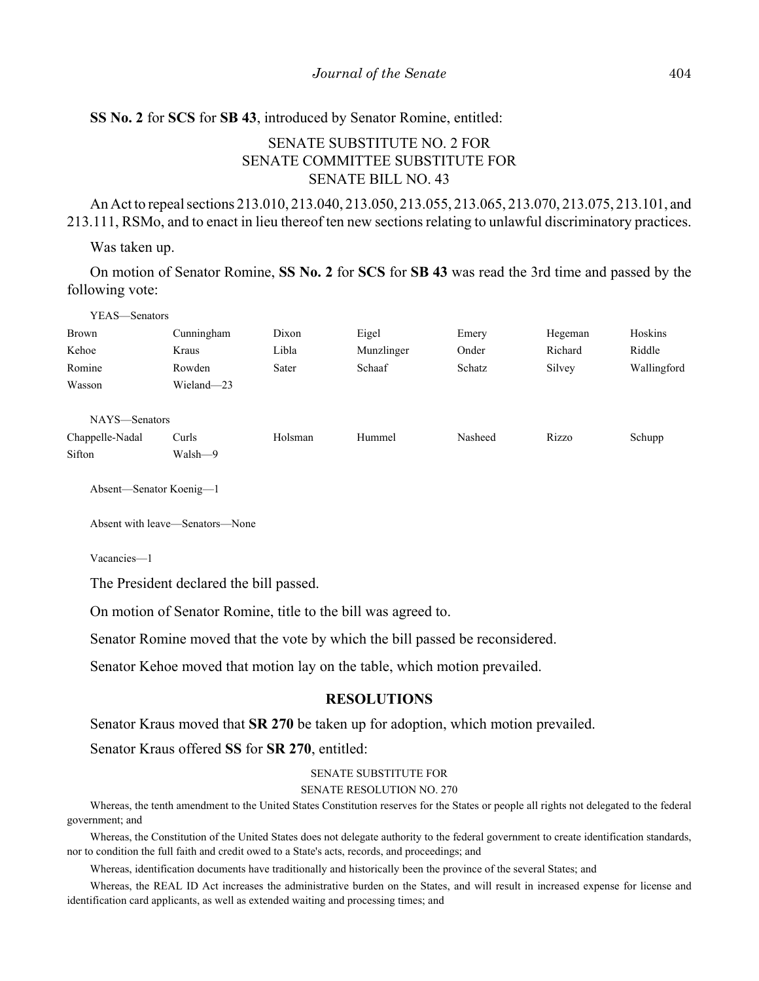## **SS No. 2** for **SCS** for **SB 43**, introduced by Senator Romine, entitled:

# SENATE SUBSTITUTE NO. 2 FOR SENATE COMMITTEE SUBSTITUTE FOR SENATE BILL NO. 43

An Act to repeal sections 213.010, 213.040, 213.050, 213.055, 213.065, 213.070, 213.075, 213.101, and 213.111, RSMo, and to enact in lieu thereof ten new sections relating to unlawful discriminatory practices.

#### Was taken up.

On motion of Senator Romine, **SS No. 2** for **SCS** for **SB 43** was read the 3rd time and passed by the following vote:

| YEAS—Senators   |            |         |            |         |         |             |
|-----------------|------------|---------|------------|---------|---------|-------------|
| Brown           | Cunningham | Dixon   | Eigel      | Emery   | Hegeman | Hoskins     |
| Kehoe           | Kraus      | Libla   | Munzlinger | Onder   | Richard | Riddle      |
| Romine          | Rowden     | Sater   | Schaaf     | Schatz  | Silvey  | Wallingford |
| Wasson          | Wieland-23 |         |            |         |         |             |
|                 |            |         |            |         |         |             |
| NAYS-Senators   |            |         |            |         |         |             |
| Chappelle-Nadal | Curls      | Holsman | Hummel     | Nasheed | Rizzo   | Schupp      |
| Sifton          | Walsh—9    |         |            |         |         |             |

Absent—Senator Koenig—1

Absent with leave—Senators—None

Vacancies—1

The President declared the bill passed.

On motion of Senator Romine, title to the bill was agreed to.

Senator Romine moved that the vote by which the bill passed be reconsidered.

Senator Kehoe moved that motion lay on the table, which motion prevailed.

#### **RESOLUTIONS**

Senator Kraus moved that **SR 270** be taken up for adoption, which motion prevailed.

Senator Kraus offered **SS** for **SR 270**, entitled:

#### SENATE SUBSTITUTE FOR

#### SENATE RESOLUTION NO. 270

Whereas, the tenth amendment to the United States Constitution reserves for the States or people all rights not delegated to the federal government; and

Whereas, the Constitution of the United States does not delegate authority to the federal government to create identification standards, nor to condition the full faith and credit owed to a State's acts, records, and proceedings; and

Whereas, identification documents have traditionally and historically been the province of the several States; and

Whereas, the REAL ID Act increases the administrative burden on the States, and will result in increased expense for license and identification card applicants, as well as extended waiting and processing times; and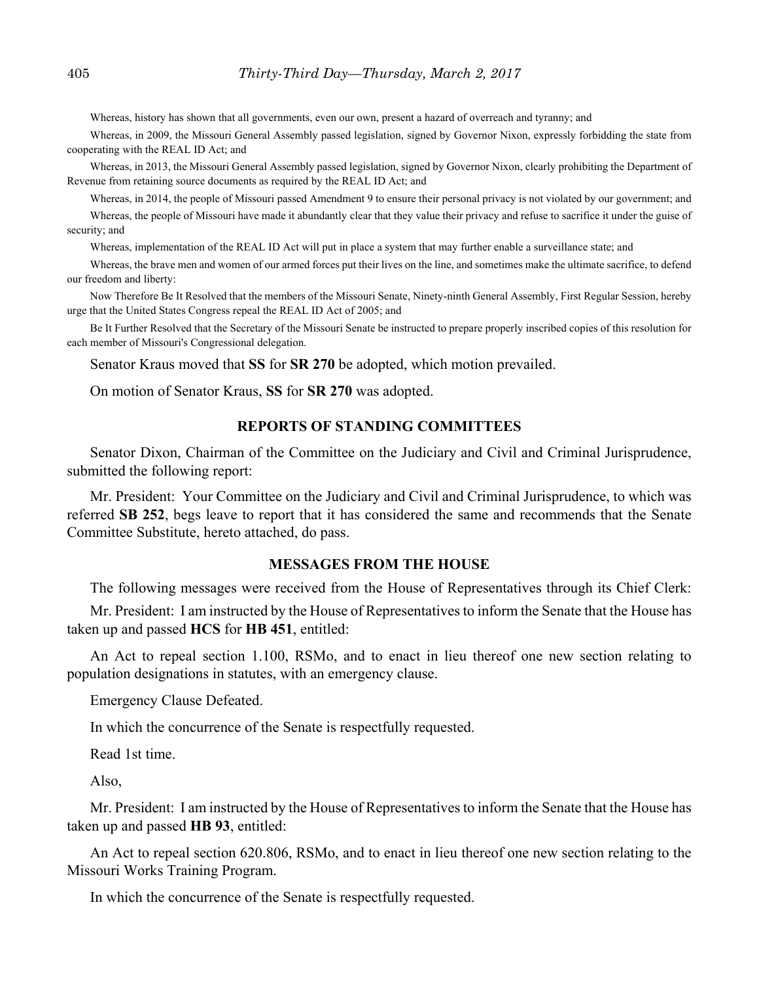Whereas, history has shown that all governments, even our own, present a hazard of overreach and tyranny; and

Whereas, in 2009, the Missouri General Assembly passed legislation, signed by Governor Nixon, expressly forbidding the state from cooperating with the REAL ID Act; and

Whereas, in 2013, the Missouri General Assembly passed legislation, signed by Governor Nixon, clearly prohibiting the Department of Revenue from retaining source documents as required by the REAL ID Act; and

Whereas, in 2014, the people of Missouri passed Amendment 9 to ensure their personal privacy is not violated by our government; and Whereas, the people of Missouri have made it abundantly clear that they value their privacy and refuse to sacrifice it under the guise of security; and

Whereas, implementation of the REAL ID Act will put in place a system that may further enable a surveillance state; and

Whereas, the brave men and women of our armed forces put their lives on the line, and sometimes make the ultimate sacrifice, to defend our freedom and liberty:

Now Therefore Be It Resolved that the members of the Missouri Senate, Ninety-ninth General Assembly, First Regular Session, hereby urge that the United States Congress repeal the REAL ID Act of 2005; and

Be It Further Resolved that the Secretary of the Missouri Senate be instructed to prepare properly inscribed copies of this resolution for each member of Missouri's Congressional delegation.

Senator Kraus moved that **SS** for **SR 270** be adopted, which motion prevailed.

On motion of Senator Kraus, **SS** for **SR 270** was adopted.

#### **REPORTS OF STANDING COMMITTEES**

Senator Dixon, Chairman of the Committee on the Judiciary and Civil and Criminal Jurisprudence, submitted the following report:

Mr. President: Your Committee on the Judiciary and Civil and Criminal Jurisprudence, to which was referred **SB 252**, begs leave to report that it has considered the same and recommends that the Senate Committee Substitute, hereto attached, do pass.

#### **MESSAGES FROM THE HOUSE**

The following messages were received from the House of Representatives through its Chief Clerk:

Mr. President: I am instructed by the House of Representatives to inform the Senate that the House has taken up and passed **HCS** for **HB 451**, entitled:

An Act to repeal section 1.100, RSMo, and to enact in lieu thereof one new section relating to population designations in statutes, with an emergency clause.

Emergency Clause Defeated.

In which the concurrence of the Senate is respectfully requested.

Read 1st time.

Also,

Mr. President: I am instructed by the House of Representatives to inform the Senate that the House has taken up and passed **HB 93**, entitled:

An Act to repeal section 620.806, RSMo, and to enact in lieu thereof one new section relating to the Missouri Works Training Program.

In which the concurrence of the Senate is respectfully requested.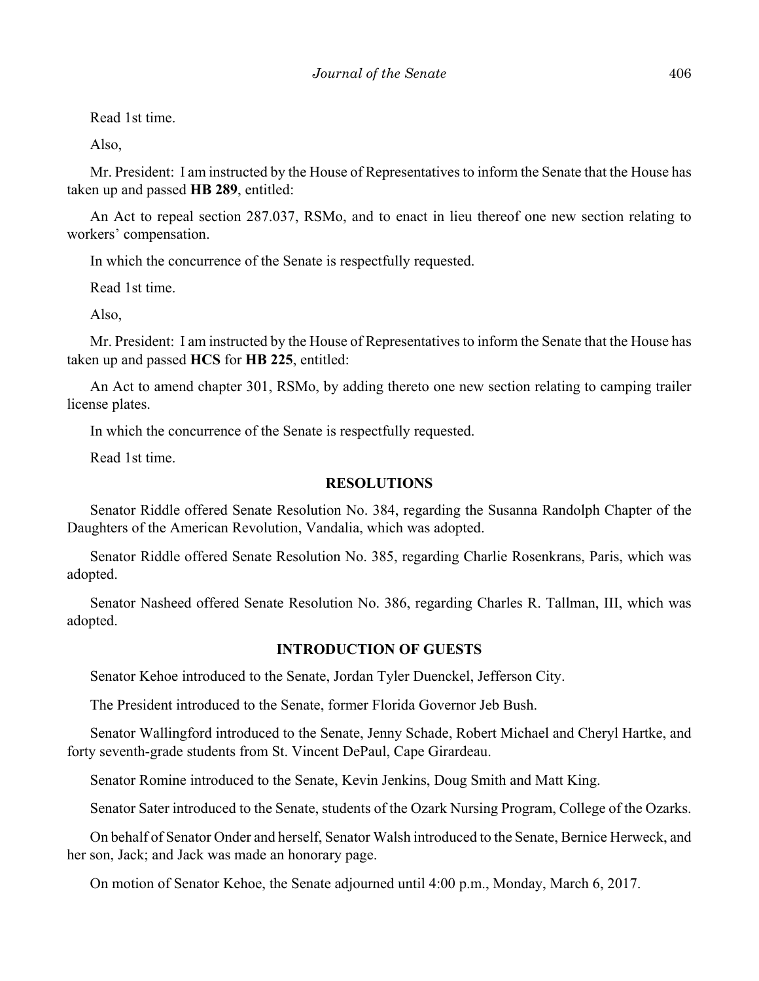Read 1st time.

Also,

Mr. President: I am instructed by the House of Representatives to inform the Senate that the House has taken up and passed **HB 289**, entitled:

An Act to repeal section 287.037, RSMo, and to enact in lieu thereof one new section relating to workers' compensation.

In which the concurrence of the Senate is respectfully requested.

Read 1st time.

Also,

Mr. President: I am instructed by the House of Representatives to inform the Senate that the House has taken up and passed **HCS** for **HB 225**, entitled:

An Act to amend chapter 301, RSMo, by adding thereto one new section relating to camping trailer license plates.

In which the concurrence of the Senate is respectfully requested.

Read 1st time.

## **RESOLUTIONS**

Senator Riddle offered Senate Resolution No. 384, regarding the Susanna Randolph Chapter of the Daughters of the American Revolution, Vandalia, which was adopted.

Senator Riddle offered Senate Resolution No. 385, regarding Charlie Rosenkrans, Paris, which was adopted.

Senator Nasheed offered Senate Resolution No. 386, regarding Charles R. Tallman, III, which was adopted.

# **INTRODUCTION OF GUESTS**

Senator Kehoe introduced to the Senate, Jordan Tyler Duenckel, Jefferson City.

The President introduced to the Senate, former Florida Governor Jeb Bush.

Senator Wallingford introduced to the Senate, Jenny Schade, Robert Michael and Cheryl Hartke, and forty seventh-grade students from St. Vincent DePaul, Cape Girardeau.

Senator Romine introduced to the Senate, Kevin Jenkins, Doug Smith and Matt King.

Senator Sater introduced to the Senate, students of the Ozark Nursing Program, College of the Ozarks.

On behalf of Senator Onder and herself, Senator Walsh introduced to the Senate, Bernice Herweck, and her son, Jack; and Jack was made an honorary page.

On motion of Senator Kehoe, the Senate adjourned until 4:00 p.m., Monday, March 6, 2017.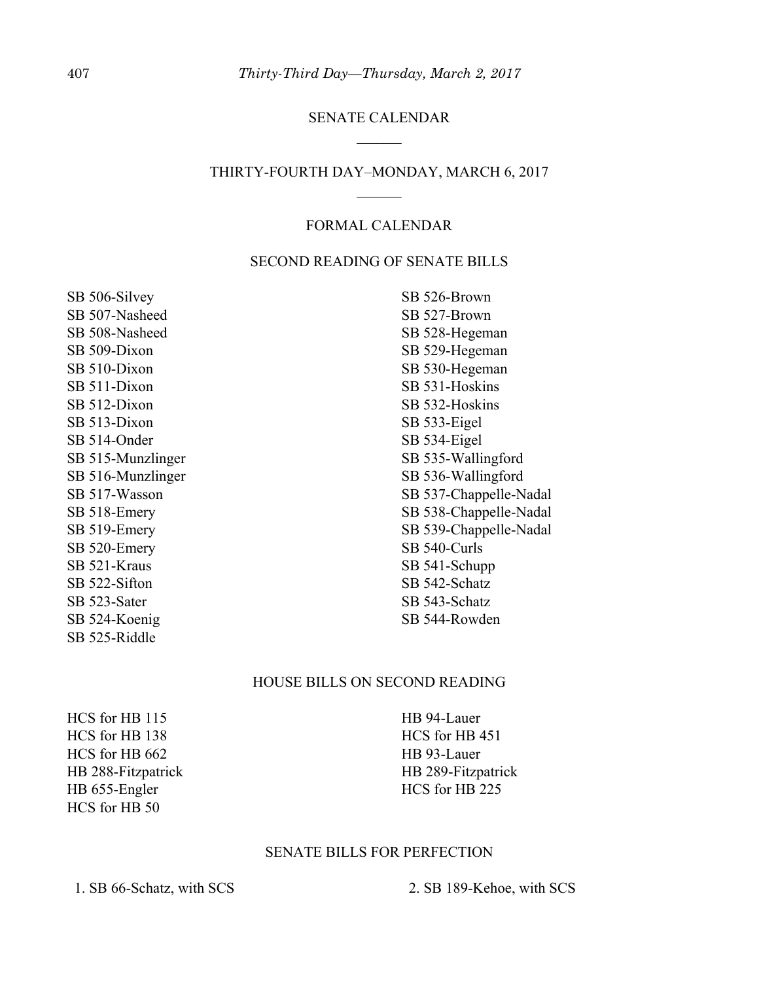## SENATE CALENDAR

# THIRTY-FOURTH DAY–MONDAY, MARCH 6, 2017  $\mathcal{L}$

# FORMAL CALENDAR

## SECOND READING OF SENATE BILLS

SB 506-Silvey SB 507-Nasheed SB 508-Nasheed SB 509-Dixon SB 510-Dixon SB 511-Dixon SB 512-Dixon SB 513-Dixon SB 514-Onder SB 515-Munzlinger SB 516-Munzlinger SB 517-Wasson SB 518-Emery SB 519-Emery SB 520-Emery SB 521-Kraus SB 522-Sifton SB 523-Sater SB 524-Koenig SB 525-Riddle

SB 526-Brown SB 527-Brown SB 528-Hegeman SB 529-Hegeman SB 530-Hegeman SB 531-Hoskins SB 532-Hoskins SB 533-Eigel SB 534-Eigel SB 535-Wallingford SB 536-Wallingford SB 537-Chappelle-Nadal SB 538-Chappelle-Nadal SB 539-Chappelle-Nadal SB 540-Curls SB 541-Schupp SB 542-Schatz SB 543-Schatz SB 544-Rowden

#### HOUSE BILLS ON SECOND READING

HCS for HB 115 HCS for HB 138 HCS for HB 662 HB 288-Fitzpatrick HB 655-Engler HCS for HB 50

HB 94-Lauer HCS for HB 451 HB 93-Lauer HB 289-Fitzpatrick HCS for HB 225

#### SENATE BILLS FOR PERFECTION

1. SB 66-Schatz, with SCS 2. SB 189-Kehoe, with SCS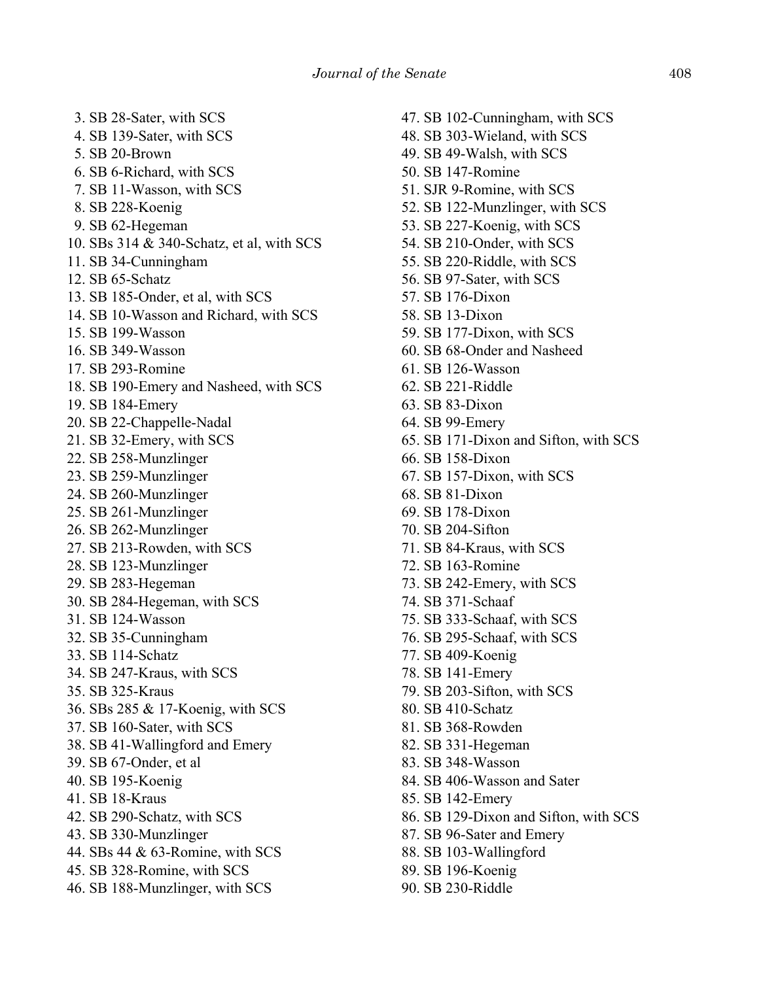3. SB 28-Sater, with SCS 4. SB 139-Sater, with SCS 5. SB 20-Brown 6. SB 6-Richard, with SCS 7. SB 11-Wasson, with SCS 8. SB 228-Koenig 9. SB 62-Hegeman 10. SBs 314 & 340-Schatz, et al, with SCS 11. SB 34-Cunningham 12. SB 65-Schatz 13. SB 185-Onder, et al, with SCS 14. SB 10-Wasson and Richard, with SCS 15. SB 199-Wasson 16. SB 349-Wasson 17. SB 293-Romine 18. SB 190-Emery and Nasheed, with SCS 19. SB 184-Emery 20. SB 22-Chappelle-Nadal 21. SB 32-Emery, with SCS 22. SB 258-Munzlinger 23. SB 259-Munzlinger 24. SB 260-Munzlinger 25. SB 261-Munzlinger 26. SB 262-Munzlinger 27. SB 213-Rowden, with SCS 28. SB 123-Munzlinger 29. SB 283-Hegeman 30. SB 284-Hegeman, with SCS 31. SB 124-Wasson 32. SB 35-Cunningham 33. SB 114-Schatz 34. SB 247-Kraus, with SCS 35. SB 325-Kraus 36. SBs 285 & 17-Koenig, with SCS 37. SB 160-Sater, with SCS 38. SB 41-Wallingford and Emery 39. SB 67-Onder, et al 40. SB 195-Koenig 41. SB 18-Kraus 42. SB 290-Schatz, with SCS 43. SB 330-Munzlinger 44. SBs 44 & 63-Romine, with SCS 45. SB 328-Romine, with SCS 46. SB 188-Munzlinger, with SCS

47. SB 102-Cunningham, with SCS 48. SB 303-Wieland, with SCS 49. SB 49-Walsh, with SCS 50. SB 147-Romine 51. SJR 9-Romine, with SCS 52. SB 122-Munzlinger, with SCS 53. SB 227-Koenig, with SCS 54. SB 210-Onder, with SCS 55. SB 220-Riddle, with SCS 56. SB 97-Sater, with SCS 57. SB 176-Dixon 58. SB 13-Dixon 59. SB 177-Dixon, with SCS 60. SB 68-Onder and Nasheed 61. SB 126-Wasson 62. SB 221-Riddle 63. SB 83-Dixon 64. SB 99-Emery 65. SB 171-Dixon and Sifton, with SCS 66. SB 158-Dixon 67. SB 157-Dixon, with SCS 68. SB 81-Dixon 69. SB 178-Dixon 70. SB 204-Sifton 71. SB 84-Kraus, with SCS 72. SB 163-Romine 73. SB 242-Emery, with SCS 74. SB 371-Schaaf 75. SB 333-Schaaf, with SCS 76. SB 295-Schaaf, with SCS 77. SB 409-Koenig 78. SB 141-Emery 79. SB 203-Sifton, with SCS 80. SB 410-Schatz 81. SB 368-Rowden 82. SB 331-Hegeman 83. SB 348-Wasson 84. SB 406-Wasson and Sater 85. SB 142-Emery 86. SB 129-Dixon and Sifton, with SCS 87. SB 96-Sater and Emery 88. SB 103-Wallingford 89. SB 196-Koenig 90. SB 230-Riddle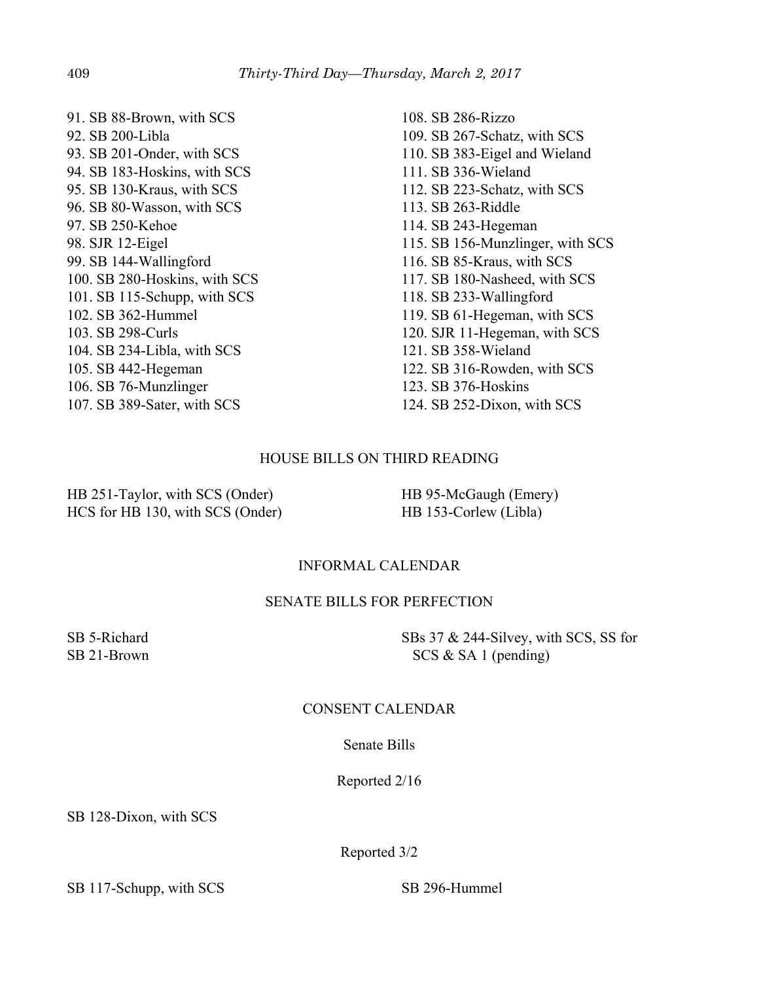91. SB 88-Brown, with SCS 92. SB 200-Libla 93. SB 201-Onder, with SCS 94. SB 183-Hoskins, with SCS 95. SB 130-Kraus, with SCS 96. SB 80-Wasson, with SCS 97. SB 250-Kehoe 98. SJR 12-Eigel 99. SB 144-Wallingford 100. SB 280-Hoskins, with SCS 101. SB 115-Schupp, with SCS 102. SB 362-Hummel 103. SB 298-Curls 104. SB 234-Libla, with SCS 105. SB 442-Hegeman 106. SB 76-Munzlinger 107. SB 389-Sater, with SCS

108. SB 286-Rizzo 109. SB 267-Schatz, with SCS 110. SB 383-Eigel and Wieland 111. SB 336-Wieland 112. SB 223-Schatz, with SCS 113. SB 263-Riddle 114. SB 243-Hegeman 115. SB 156-Munzlinger, with SCS 116. SB 85-Kraus, with SCS 117. SB 180-Nasheed, with SCS 118. SB 233-Wallingford 119. SB 61-Hegeman, with SCS 120. SJR 11-Hegeman, with SCS 121. SB 358-Wieland 122. SB 316-Rowden, with SCS 123. SB 376-Hoskins 124. SB 252-Dixon, with SCS

# HOUSE BILLS ON THIRD READING

HB 251-Taylor, with SCS (Onder) HCS for HB 130, with SCS (Onder) HB 95-McGaugh (Emery) HB 153-Corlew (Libla)

# INFORMAL CALENDAR

# SENATE BILLS FOR PERFECTION

SB 5-Richard SB 21-Brown SBs 37 & 244-Silvey, with SCS, SS for SCS & SA 1 (pending)

# CONSENT CALENDAR

# Senate Bills

Reported 2/16

SB 128-Dixon, with SCS

Reported 3/2

SB 117-Schupp, with SCS SB 296-Hummel